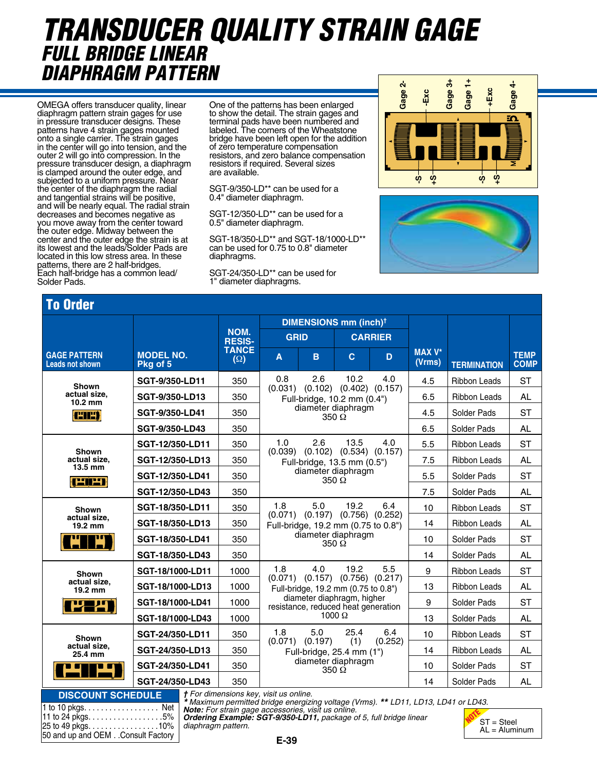### *transducer quality strain gage full bridge linear diaphragm pattern* **50-CONDUCTORS LIMB WIDTH 0.026 mm GAP WIDTH 0.022 mm AGL 0.75 mm**

OMEGA offers transducer quality, linear diaphragm pattern strain gages for use in pressure transducer designs. These patterns have 4 strain gages mounted onto a single carrier. The strain gages in the center will go into tension, and the outer 2 will go into compression. In the pressure transducer design, a diaphragm is clamped around the outer edge, and subjected to a uniform pressure. Near the center of the diaphragm the radial and tangential strains will be positive, and will be nearly equal. The radial strain decreases and becomes negative as you move away from the center toward the outer edge. Midway between the center and the outer edge the strain is at its lowest and the leads/Solder Pads are located in this low stress area. In these patterns, there are 2 half-bridges. Each half-bridge has a common lead/ Solder Pads.

One of the patterns has been enlarged to show the detail. The strain gages and terminal pads have been numbered and labeled. The corners of the Wheatstone bridge have been left open for the addition of zero temperature compensation resistors, and zero balance compensation resistors if required. Several sizes are available. **SGRT-90**<br>SPERICE<br>1970<br>DPDP<br>PPS<br>11<br>Ta

SGT-9/350-LD\*\* can be used for a 0.4" diameter diaphragm.

SGT-12/350-LD\*\* can be used for a 0.5" diameter diaphragm.

SGT-18/350-LD\*\* and SGT-18/1000-LD\*\* can be used for 0.75 to 0.8" diameter diaphragms.

SGT-24/350-LD\*\* can be used for 1" diameter diaphragms.





## To Order

| <u>in oinei</u>                                                                                                                                             |                              |                            |                                                                        |                                     |                                                                                        |                                                                             |                         |                     |                            |  |
|-------------------------------------------------------------------------------------------------------------------------------------------------------------|------------------------------|----------------------------|------------------------------------------------------------------------|-------------------------------------|----------------------------------------------------------------------------------------|-----------------------------------------------------------------------------|-------------------------|---------------------|----------------------------|--|
|                                                                                                                                                             |                              |                            | <b>DIMENSIONS mm (inch)<sup>†</sup></b>                                |                                     |                                                                                        |                                                                             |                         |                     |                            |  |
|                                                                                                                                                             |                              | NOM.<br><b>RESIS-</b>      | <b>GRID</b>                                                            |                                     | <b>CARRIER</b>                                                                         |                                                                             |                         |                     |                            |  |
| <b>GAGE PATTERN</b><br>Leads not shown                                                                                                                      | <b>MODEL NO.</b><br>Pkg of 5 | <b>TANCE</b><br>$(\Omega)$ | $\mathbf{A}$                                                           | B.                                  | $\mathbf{C}$                                                                           | D                                                                           | <b>MAX V*</b><br>(Vrms) | <b>TERMINATION</b>  | <b>TEMP</b><br><b>COMP</b> |  |
| Shown                                                                                                                                                       | SGT-9/350-LD11               | 350                        | 0.8                                                                    | 2.6                                 | 10.2<br>4.0                                                                            | 4.5                                                                         | <b>Ribbon Leads</b>     | <b>ST</b>           |                            |  |
| actual size,<br>$10.2 \text{ mm}$                                                                                                                           | SGT-9/350-LD13               | 350                        | $(0.031)$ $(0.102)$ $(0.402)$ $(0.157)$<br>Full-bridge, 10.2 mm (0.4") |                                     |                                                                                        |                                                                             | 6.5                     | <b>Ribbon Leads</b> | <b>AL</b>                  |  |
| <b>CIES</b>                                                                                                                                                 | SGT-9/350-LD41               | 350                        |                                                                        | diameter diaphragm                  | $350 \Omega$                                                                           | 4.5                                                                         | Solder Pads             | <b>ST</b>           |                            |  |
|                                                                                                                                                             | <b>SGT-9/350-LD43</b>        | 350                        |                                                                        |                                     |                                                                                        | 6.5                                                                         | Solder Pads             | <b>AL</b>           |                            |  |
| Shown<br>actual size,<br>$13.5 \text{ mm}$<br><b>CEPS</b>                                                                                                   | SGT-12/350-LD11              | 350                        | 1.0                                                                    | 2.6                                 | 13.5                                                                                   | 4.0                                                                         | 5.5                     | <b>Ribbon Leads</b> | <b>ST</b>                  |  |
|                                                                                                                                                             | SGT-12/350-LD13              | 350                        | $(0.039)$ $(0.102)$ $(0.534)$ $(0.157)$<br>Full-bridge, 13.5 mm (0.5") |                                     |                                                                                        |                                                                             | 7.5                     | <b>Ribbon Leads</b> | <b>AL</b>                  |  |
|                                                                                                                                                             | SGT-12/350-LD41              | 350                        |                                                                        | diameter diaphragm                  | 350 $\Omega$                                                                           |                                                                             | 5.5                     | Solder Pads         | <b>ST</b>                  |  |
|                                                                                                                                                             | SGT-12/350-LD43              | 350                        |                                                                        |                                     |                                                                                        | 7.5                                                                         | Solder Pads             | <b>AL</b>           |                            |  |
| <b>Shown</b>                                                                                                                                                | SGT-18/350-LD11              | 350                        | 1.8<br>(0.071)                                                         | 5.0                                 | 19.2                                                                                   | 6.4<br>$(0.197)$ $(0.756)$ $(0.252)$<br>Full-bridge, 19.2 mm (0.75 to 0.8") | 10                      | <b>Ribbon Leads</b> | <b>ST</b>                  |  |
| actual size,<br>19.2 mm                                                                                                                                     | SGT-18/350-LD13              | 350                        |                                                                        |                                     |                                                                                        |                                                                             | 14                      | <b>Ribbon Leads</b> | <b>AL</b>                  |  |
| m<br>w                                                                                                                                                      | SGT-18/350-LD41              | 350                        |                                                                        | diameter diaphragm<br>$350\,\Omega$ |                                                                                        | 10                                                                          | Solder Pads             | <b>ST</b>           |                            |  |
|                                                                                                                                                             | SGT-18/350-LD43              | 350                        |                                                                        |                                     |                                                                                        | 14                                                                          | Solder Pads             | <b>AL</b>           |                            |  |
| Shown<br>actual size,<br>19.2 mm<br>ng pa<br>$\blacksquare$                                                                                                 | SGT-18/1000-LD11             | 1000                       | 1.8                                                                    | 4.0                                 | 19.2<br>$(0.071)$ $(0.157)$ $(0.756)$ $(0.217)$<br>Full-bridge, 19.2 mm (0.75 to 0.8") | 5.5                                                                         | 9                       | <b>Ribbon Leads</b> | <b>ST</b>                  |  |
|                                                                                                                                                             | SGT-18/1000-LD13             | 1000                       |                                                                        |                                     |                                                                                        |                                                                             | 13                      | <b>Ribbon Leads</b> | <b>AL</b>                  |  |
|                                                                                                                                                             | SGT-18/1000-LD41             | 1000                       |                                                                        |                                     | diameter diaphragm, higher<br>resistance, reduced heat generation                      |                                                                             | 9                       | Solder Pads         | <b>ST</b>                  |  |
|                                                                                                                                                             | SGT-18/1000-LD43             | 1000                       | $1000 \Omega$                                                          |                                     |                                                                                        |                                                                             | 13                      | Solder Pads         | <b>AL</b>                  |  |
| Shown<br>actual size,<br>25.4 mm<br>3 M M                                                                                                                   | SGT-24/350-LD11              | 350                        | 1.8                                                                    | 5.0<br>$(0.071)$ $(0.197)$          | 25.4<br>(1)                                                                            | 6.4<br>(0.252)                                                              | 10                      | <b>Ribbon Leads</b> | <b>ST</b>                  |  |
|                                                                                                                                                             | SGT-24/350-LD13              | 350                        |                                                                        |                                     | Full-bridge, 25.4 mm (1")<br>diameter diaphragm<br>350 $\Omega$                        |                                                                             | 14                      | <b>Ribbon Leads</b> | <b>AL</b>                  |  |
|                                                                                                                                                             | SGT-24/350-LD41              | 350                        |                                                                        |                                     |                                                                                        |                                                                             | 10                      | Solder Pads         | <b>ST</b>                  |  |
|                                                                                                                                                             | SGT-24/350-LD43              | 350                        |                                                                        |                                     |                                                                                        | 14                                                                          | Solder Pads             | <b>AL</b>           |                            |  |
| † For dimensions key, visit us online.<br><b>DISCOUNT SCHEDULE</b><br>* Maximum permitted bridge energizing voltage (Vrms), ** I D11, I D13, I D41 or I D43 |                              |                            |                                                                        |                                     |                                                                                        |                                                                             |                         |                     |                            |  |

† For dimensions key, visit us online.<br>\* Maximum permitted bridge energizing voltage (Vrms). \*\* LD11, LD13, LD41 or LD43.<br>**Note:** For strain gage accessories, visit us online.<br>**Ordering Example: SGT-9/350-LD11,** package of

AL = Aluminum

| 1 to 10 pkgs. Net                 |  |
|-----------------------------------|--|
| 11 to 24 pkgs. 5%                 |  |
| 25 to 49 pkgs. 10%                |  |
| 50 and up and OEM Consult Factory |  |